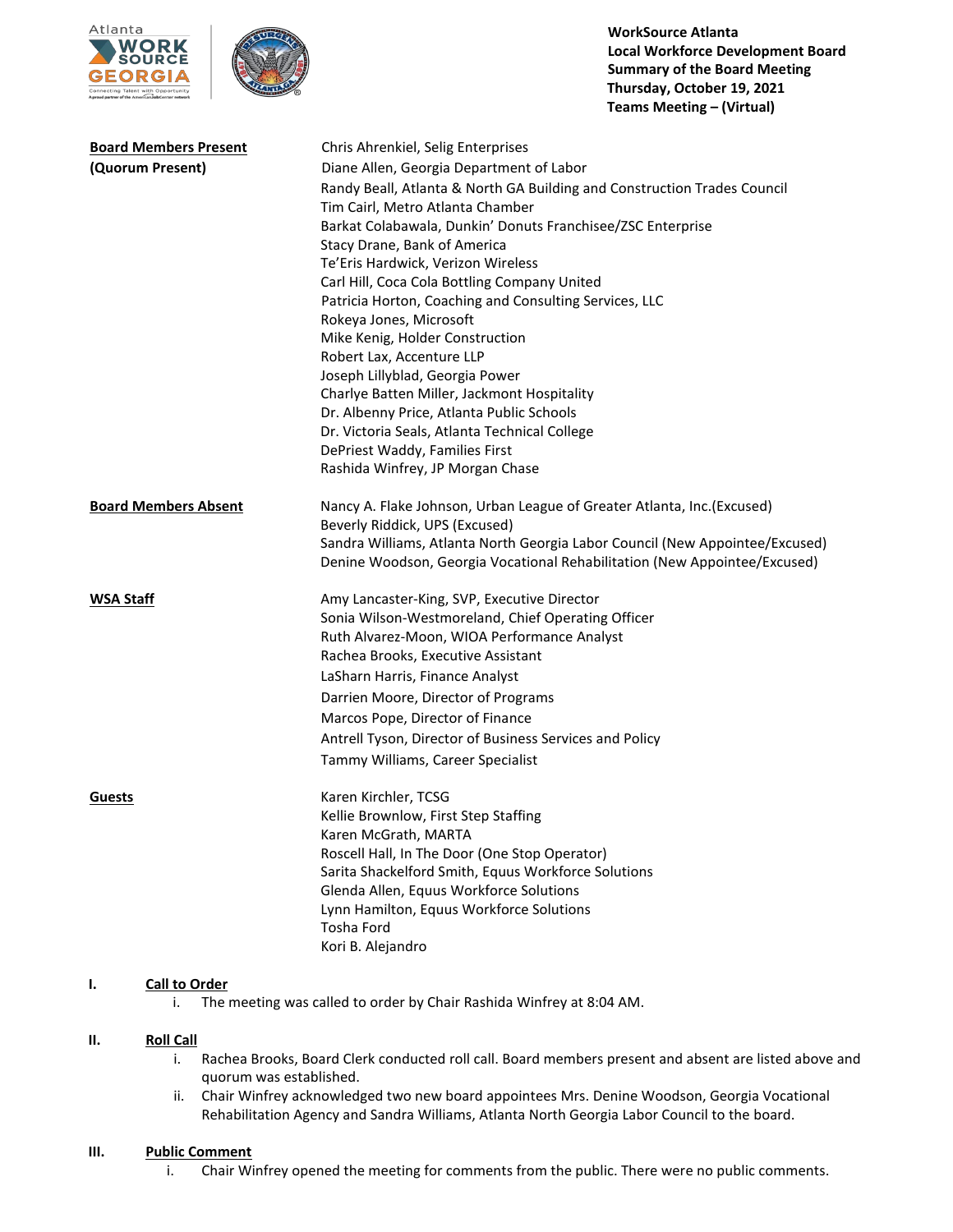



**WorkSource Atlanta Local Workforce Development Board Summary of the Board Meeting Thursday, October 19, 2021 Teams Meeting – (Virtual)**

| <b>Board Members Present</b> | Chris Ahrenkiel, Selig Enterprises                                           |
|------------------------------|------------------------------------------------------------------------------|
| (Quorum Present)             | Diane Allen, Georgia Department of Labor                                     |
|                              | Randy Beall, Atlanta & North GA Building and Construction Trades Council     |
|                              | Tim Cairl, Metro Atlanta Chamber                                             |
|                              | Barkat Colabawala, Dunkin' Donuts Franchisee/ZSC Enterprise                  |
|                              | Stacy Drane, Bank of America                                                 |
|                              | Te'Eris Hardwick, Verizon Wireless                                           |
|                              | Carl Hill, Coca Cola Bottling Company United                                 |
|                              | Patricia Horton, Coaching and Consulting Services, LLC                       |
|                              | Rokeya Jones, Microsoft                                                      |
|                              | Mike Kenig, Holder Construction                                              |
|                              | Robert Lax, Accenture LLP                                                    |
|                              | Joseph Lillyblad, Georgia Power                                              |
|                              | Charlye Batten Miller, Jackmont Hospitality                                  |
|                              | Dr. Albenny Price, Atlanta Public Schools                                    |
|                              | Dr. Victoria Seals, Atlanta Technical College                                |
|                              | DePriest Waddy, Families First                                               |
|                              | Rashida Winfrey, JP Morgan Chase                                             |
| <b>Board Members Absent</b>  | Nancy A. Flake Johnson, Urban League of Greater Atlanta, Inc.(Excused)       |
|                              | Beverly Riddick, UPS (Excused)                                               |
|                              | Sandra Williams, Atlanta North Georgia Labor Council (New Appointee/Excused) |
|                              | Denine Woodson, Georgia Vocational Rehabilitation (New Appointee/Excused)    |
|                              |                                                                              |
| <b>WSA Staff</b>             | Amy Lancaster-King, SVP, Executive Director                                  |
|                              | Sonia Wilson-Westmoreland, Chief Operating Officer                           |
|                              | Ruth Alvarez-Moon, WIOA Performance Analyst                                  |
|                              | Rachea Brooks, Executive Assistant                                           |
|                              | LaSharn Harris, Finance Analyst                                              |
|                              | Darrien Moore, Director of Programs                                          |
|                              | Marcos Pope, Director of Finance                                             |
|                              | Antrell Tyson, Director of Business Services and Policy                      |
|                              | Tammy Williams, Career Specialist                                            |
| <b>Guests</b>                | Karen Kirchler, TCSG                                                         |
|                              | Kellie Brownlow, First Step Staffing                                         |
|                              | Karen McGrath, MARTA                                                         |
|                              | Roscell Hall, In The Door (One Stop Operator)                                |
|                              | Sarita Shackelford Smith, Equus Workforce Solutions                          |
|                              | Glenda Allen, Equus Workforce Solutions                                      |
|                              | Lynn Hamilton, Equus Workforce Solutions                                     |
|                              | Tosha Ford                                                                   |
|                              | Kori B. Alejandro                                                            |
|                              |                                                                              |

### **I. Call to Order**

i. The meeting was called to order by Chair Rashida Winfrey at 8:04 AM.

#### **II. Roll Call**

- i. Rachea Brooks, Board Clerk conducted roll call. Board members present and absent are listed above and quorum was established.
- ii. Chair Winfrey acknowledged two new board appointees Mrs. Denine Woodson, Georgia Vocational Rehabilitation Agency and Sandra Williams, Atlanta North Georgia Labor Council to the board.

#### **III. Public Comment**

i. Chair Winfrey opened the meeting for comments from the public. There were no public comments.